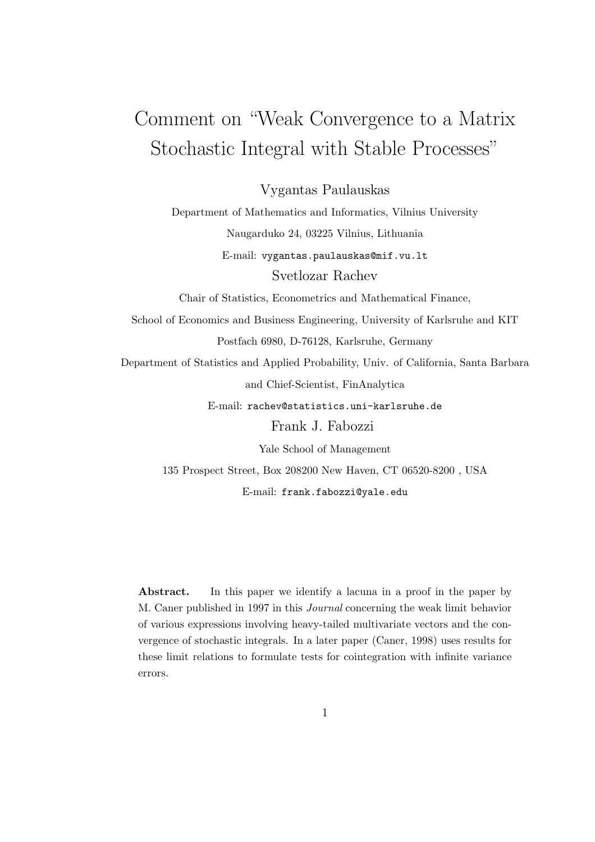## Comment on "Weak Convergence to a Matrix Stochastic Integral with Stable Processes"

Vygantas Paulauskas

Department of Mathematics and Informatics, Vilnius University Naugarduko 24, 03225 Vilnius, Lithuania E-mail: vygantas.paulauskas@mif.vu.lt Svetlozar Rachev Chair of Statistics, Econometrics and Mathematical Finance, School of Economics and Business Engineering, University of Karlsruhe and KIT Postfach 6980, D-76128, Karlsruhe, Germany Department of Statistics and Applied Probability, Univ. of California, Santa Barbara and Chief-Scientist, FinAnalytica E-mail: rachev@statistics.uni-karlsruhe.de Frank J. Fabozzi

> Yale School of Management 135 Prospect Street, Box 208200 New Haven, CT 06520-8200 , USA E-mail: frank.fabozzi@yale.edu

Abstract. In this paper we identify a lacuna in a proof in the paper by M. Caner published in 1997 in this Journal concerning the weak limit behavior of various expressions involving heavy-tailed multivariate vectors and the convergence of stochastic integrals. In a later paper (Caner, 1998) uses results for these limit relations to formulate tests for cointegration with infinite variance errors.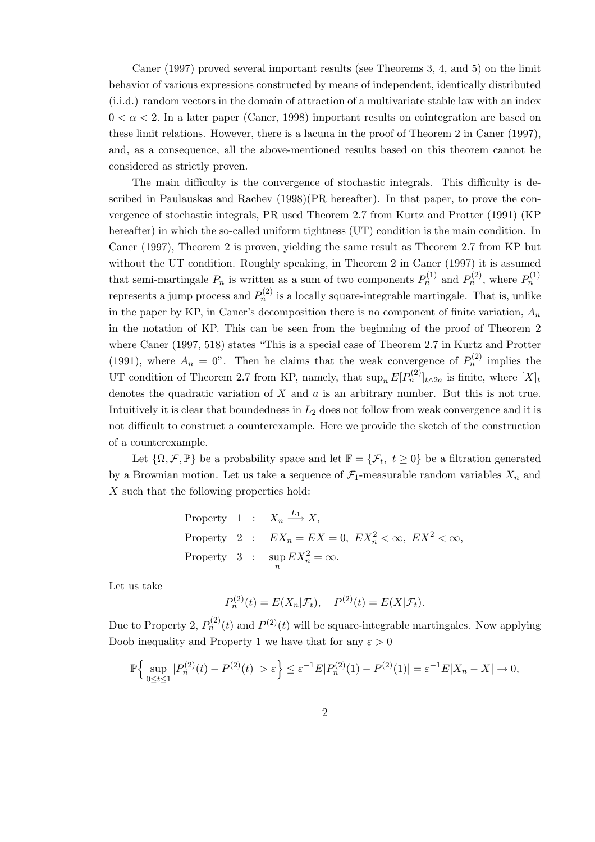Caner (1997) proved several important results (see Theorems 3, 4, and 5) on the limit behavior of various expressions constructed by means of independent, identically distributed (i.i.d.) random vectors in the domain of attraction of a multivariate stable law with an index  $0 < \alpha < 2$ . In a later paper (Caner, 1998) important results on cointegration are based on these limit relations. However, there is a lacuna in the proof of Theorem 2 in Caner (1997), and, as a consequence, all the above-mentioned results based on this theorem cannot be considered as strictly proven.

The main difficulty is the convergence of stochastic integrals. This difficulty is described in Paulauskas and Rachev (1998)(PR hereafter). In that paper, to prove the convergence of stochastic integrals, PR used Theorem 2.7 from Kurtz and Protter (1991) (KP hereafter) in which the so-called uniform tightness (UT) condition is the main condition. In Caner (1997), Theorem 2 is proven, yielding the same result as Theorem 2.7 from KP but without the UT condition. Roughly speaking, in Theorem 2 in Caner (1997) it is assumed that semi-martingale  $P_n$  is written as a sum of two components  $P_n^{(1)}$  and  $P_n^{(2)}$ , where  $P_n^{(1)}$ represents a jump process and  $P_n^{(2)}$  is a locally square-integrable martingale. That is, unlike in the paper by KP, in Caner's decomposition there is no component of finite variation,  $A_n$ in the notation of KP. This can be seen from the beginning of the proof of Theorem 2 where Caner (1997, 518) states "This is a special case of Theorem 2.7 in Kurtz and Protter (1991), where  $A_n = 0$ ". Then he claims that the weak convergence of  $P_n^{(2)}$  implies the UT condition of Theorem 2.7 from KP, namely, that  $\sup_n E[P_n^{(2)}]_{t\wedge 2a}$  is finite, where  $[X]_t$ denotes the quadratic variation of  $X$  and  $a$  is an arbitrary number. But this is not true. Intuitively it is clear that boundedness in  $L_2$  does not follow from weak convergence and it is not difficult to construct a counterexample. Here we provide the sketch of the construction of a counterexample.

Let  $\{\Omega, \mathcal{F}, \mathbb{P}\}\$  be a probability space and let  $\mathbb{F} = \{\mathcal{F}_t, t \geq 0\}$  be a filtration generated by a Brownian motion. Let us take a sequence of  $\mathcal{F}_1$ -measurable random variables  $X_n$  and X such that the following properties hold:

Property 1 : 
$$
X_n \xrightarrow{L_1} X
$$
,  
Property 2 :  $EX_n = EX = 0$ ,  $EX_n^2 < \infty$ ,  $EX^2 < \infty$ ,  
Property 3 :  $\sup_n EX_n^2 = \infty$ .

Let us take

$$
P_n^{(2)}(t) = E(X_n | \mathcal{F}_t), \quad P^{(2)}(t) = E(X | \mathcal{F}_t).
$$

Due to Property 2,  $P_n^{(2)}(t)$  and  $P^{(2)}(t)$  will be square-integrable martingales. Now applying Doob inequality and Property 1 we have that for any  $\varepsilon > 0$ 

$$
\mathbb{P}\Big\{\sup_{0\leq t\leq 1}|P_n^{(2)}(t)-P^{(2)}(t)|>\varepsilon\Big\}\leq \varepsilon^{-1}E|P_n^{(2)}(1)-P^{(2)}(1)|=\varepsilon^{-1}E|X_n-X|\to 0,
$$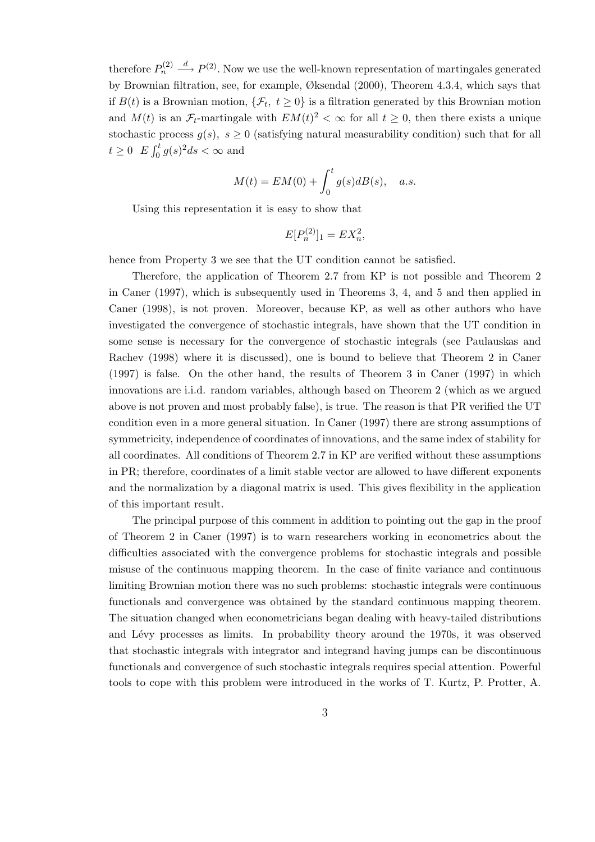therefore  $P_n^{(2)} \stackrel{d}{\longrightarrow} P^{(2)}$ . Now we use the well-known representation of martingales generated by Brownian filtration, see, for example, Øksendal (2000), Theorem 4.3.4, which says that if  $B(t)$  is a Brownian motion,  $\{\mathcal{F}_t, t \geq 0\}$  is a filtration generated by this Brownian motion and  $M(t)$  is an  $\mathcal{F}_t$ -martingale with  $EM(t)^2 < \infty$  for all  $t \geq 0$ , then there exists a unique stochastic process  $g(s)$ ,  $s \geq 0$  (satisfying natural measurability condition) such that for all  $t \geq 0$   $E \int_0^t$  $\int_0^t g(s)^2 ds < \infty$  and

$$
M(t) = EM(0) + \int_0^t g(s)dB(s), \quad a.s.
$$

Using this representation it is easy to show that

$$
E[P_n^{(2)}]_1 = EX_n^2,
$$

hence from Property 3 we see that the UT condition cannot be satisfied.

Therefore, the application of Theorem 2.7 from KP is not possible and Theorem 2 in Caner (1997), which is subsequently used in Theorems 3, 4, and 5 and then applied in Caner (1998), is not proven. Moreover, because KP, as well as other authors who have investigated the convergence of stochastic integrals, have shown that the UT condition in some sense is necessary for the convergence of stochastic integrals (see Paulauskas and Rachev (1998) where it is discussed), one is bound to believe that Theorem 2 in Caner (1997) is false. On the other hand, the results of Theorem 3 in Caner (1997) in which innovations are i.i.d. random variables, although based on Theorem 2 (which as we argued above is not proven and most probably false), is true. The reason is that PR verified the UT condition even in a more general situation. In Caner (1997) there are strong assumptions of symmetricity, independence of coordinates of innovations, and the same index of stability for all coordinates. All conditions of Theorem 2.7 in KP are verified without these assumptions in PR; therefore, coordinates of a limit stable vector are allowed to have different exponents and the normalization by a diagonal matrix is used. This gives flexibility in the application of this important result.

The principal purpose of this comment in addition to pointing out the gap in the proof of Theorem 2 in Caner (1997) is to warn researchers working in econometrics about the difficulties associated with the convergence problems for stochastic integrals and possible misuse of the continuous mapping theorem. In the case of finite variance and continuous limiting Brownian motion there was no such problems: stochastic integrals were continuous functionals and convergence was obtained by the standard continuous mapping theorem. The situation changed when econometricians began dealing with heavy-tailed distributions and Lévy processes as limits. In probability theory around the 1970s, it was observed that stochastic integrals with integrator and integrand having jumps can be discontinuous functionals and convergence of such stochastic integrals requires special attention. Powerful tools to cope with this problem were introduced in the works of T. Kurtz, P. Protter, A.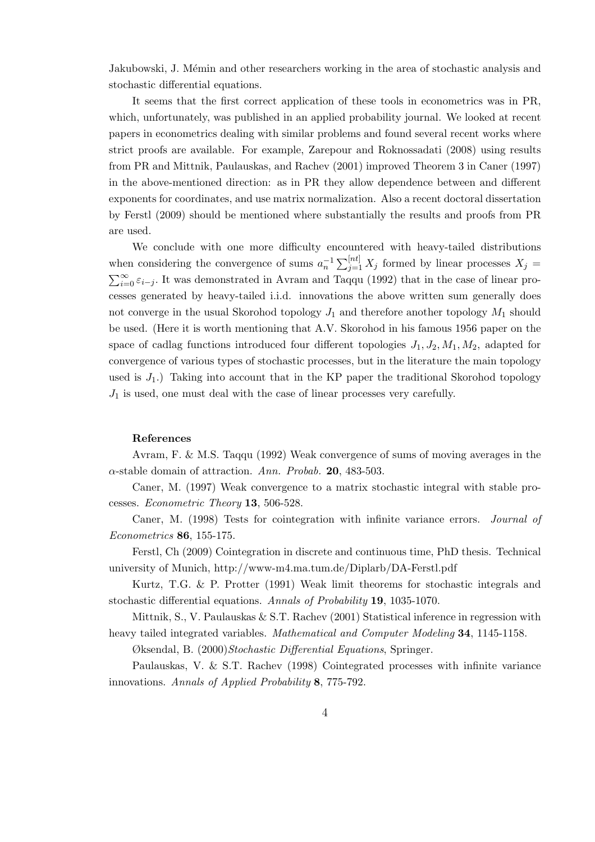Jakubowski, J. Mémin and other researchers working in the area of stochastic analysis and stochastic differential equations.

It seems that the first correct application of these tools in econometrics was in PR, which, unfortunately, was published in an applied probability journal. We looked at recent papers in econometrics dealing with similar problems and found several recent works where strict proofs are available. For example, Zarepour and Roknossadati (2008) using results from PR and Mittnik, Paulauskas, and Rachev (2001) improved Theorem 3 in Caner (1997) in the above-mentioned direction: as in PR they allow dependence between and different exponents for coordinates, and use matrix normalization. Also a recent doctoral dissertation by Ferstl (2009) should be mentioned where substantially the results and proofs from PR are used.

We conclude with one more difficulty encountered with heavy-tailed distributions when considering the convergence of sums  $a_n^{-1}$  $\sum^{n}$ when considering the convergence of sums  $a_n^{-1} \sum_{j=1}^{\lfloor nt \rfloor} X_j$  formed by linear processes  $X_j =$ <br> $\sum_{i=1}^{\infty} a_i$ . It was demonstrated in Arram and Taggy (1003) that in the case of linear pro- $\sum_{i=0}^{\infty} \varepsilon_{i-j}$ . It was demonstrated in Avram and Taqqu (1992) that in the case of linear processes generated by heavy-tailed i.i.d. innovations the above written sum generally does not converge in the usual Skorohod topology  $J_1$  and therefore another topology  $M_1$  should be used. (Here it is worth mentioning that A.V. Skorohod in his famous 1956 paper on the space of cadlag functions introduced four different topologies  $J_1, J_2, M_1, M_2$ , adapted for convergence of various types of stochastic processes, but in the literature the main topology used is  $J_1$ .) Taking into account that in the KP paper the traditional Skorohod topology  $J_1$  is used, one must deal with the case of linear processes very carefully.

## References

Avram, F. & M.S. Taqqu (1992) Weak convergence of sums of moving averages in the  $\alpha$ -stable domain of attraction. Ann. Probab. 20, 483-503.

Caner, M. (1997) Weak convergence to a matrix stochastic integral with stable processes. Econometric Theory 13, 506-528.

Caner, M. (1998) Tests for cointegration with infinite variance errors. Journal of Econometrics 86, 155-175.

Ferstl, Ch (2009) Cointegration in discrete and continuous time, PhD thesis. Technical university of Munich, http://www-m4.ma.tum.de/Diplarb/DA-Ferstl.pdf

Kurtz, T.G. & P. Protter (1991) Weak limit theorems for stochastic integrals and stochastic differential equations. Annals of Probability 19, 1035-1070.

Mittnik, S., V. Paulauskas & S.T. Rachev (2001) Statistical inference in regression with heavy tailed integrated variables. Mathematical and Computer Modeling 34, 1145-1158.

Øksendal, B. (2000) Stochastic Differential Equations, Springer.

Paulauskas, V. & S.T. Rachev (1998) Cointegrated processes with infinite variance innovations. Annals of Applied Probability 8, 775-792.